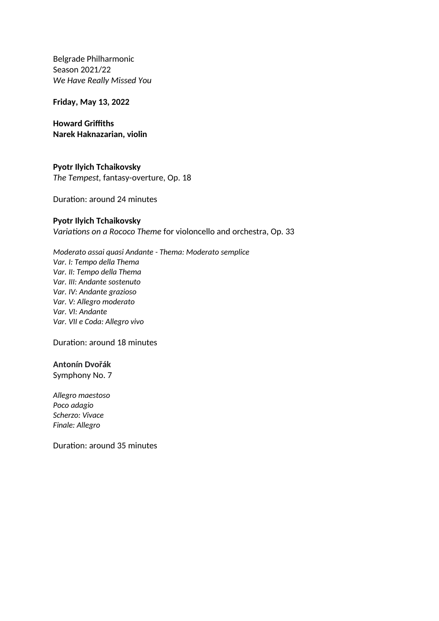Belgrade Philharmonic Season 2021/22 *We Have Really Missed You* 

**Friday, May 13, 2022**

**Howard Griffiths Narek Haknazarian, violin**

**Pyotr Ilyich Tchaikovsky** *The Tempest,* fantasy-overture, Op. 18

Duration: around 24 minutes

## **Pyotr Ilyich Tchaikovsky**

*Variations on a Rococo Theme* for violoncello and orchestra, Op. 33

*Moderato assai quasi Andante - Thema: Moderato semplice Var. I: Tempo della Thema Var. II: Tempo della Thema Var. III: Andante sostenuto Var. IV: Andante grazioso Var. V: Allegro moderato Var. VI: Andante Var. VII e Coda: Allegro vivo*

Duration: around 18 minutes

## **Antonín Dvořák**

Symphony No. 7

*Allegro maestoso Poco adagio Scherzo: Vivace Finale: Allegro*

Duration: around 35 minutes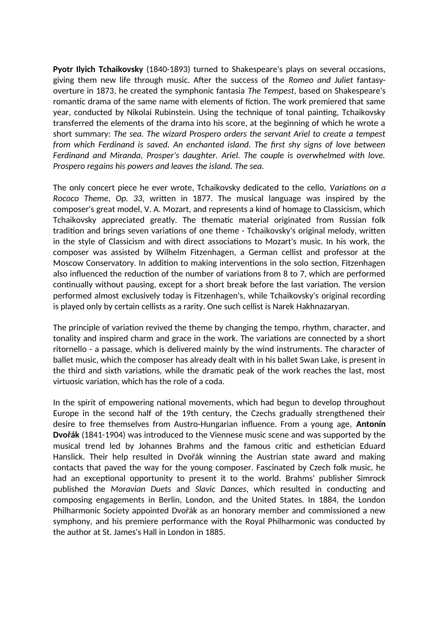**Pyotr Ilyich Tchaikovsky** (1840-1893) turned to Shakespeare's plays on several occasions, giving them new life through music. After the success of the *Romeo and Juliet* fantasyoverture in 1873, he created the symphonic fantasia *The Tempest*, based on Shakespeare's romantic drama of the same name with elements of fiction. The work premiered that same year, conducted by Nikolai Rubinstein. Using the technique of tonal painting, Tchaikovsky transferred the elements of the drama into his score, at the beginning of which he wrote a short summary: *The sea. The wizard Prospero orders the servant Ariel to create a tempest from which Ferdinand is saved. An enchanted island. The first shy signs of love between Ferdinand and Miranda, Prosper's daughter. Ariel. The couple is overwhelmed with love. Prospero regains his powers and leaves the island. The sea.*

The only concert piece he ever wrote, Tchaikovsky dedicated to the cello, *Variations on a Rococo Theme, Op. 33*, written in 1877. The musical language was inspired by the composer's great model, V. A. Mozart, and represents a kind of homage to Classicism, which Tchaikovsky appreciated greatly. The thematic material originated from Russian folk tradition and brings seven variations of one theme - Tchaikovsky's original melody, written in the style of Classicism and with direct associations to Mozart's music. In his work, the composer was assisted by Wilhelm Fitzenhagen, a German cellist and professor at the Moscow Conservatory. In addition to making interventions in the solo section, Fitzenhagen also influenced the reduction of the number of variations from 8 to 7, which are performed continually without pausing, except for a short break before the last variation. The version performed almost exclusively today is Fitzenhagen's, while Tchaikovsky's original recording is played only by certain cellists as a rarity. One such cellist is Narek Hakhnazaryan.

The principle of variation revived the theme by changing the tempo, rhythm, character, and tonality and inspired charm and grace in the work. The variations are connected by a short ritornello - a passage, which is delivered mainly by the wind instruments. The character of ballet music, which the composer has already dealt with in his ballet Swan Lake, is present in the third and sixth variations, while the dramatic peak of the work reaches the last, most virtuosic variation, which has the role of a coda.

In the spirit of empowering national movements, which had begun to develop throughout Europe in the second half of the 19th century, the Czechs gradually strengthened their desire to free themselves from Austro-Hungarian influence. From a young age, **Antonín Dvořák** (1841-1904) was introduced to the Viennese music scene and was supported by the musical trend led by Johannes Brahms and the famous critic and esthetician Eduard Hanslick. Their help resulted in Dvořák winning the Austrian state award and making contacts that paved the way for the young composer. Fascinated by Czech folk music, he had an exceptional opportunity to present it to the world. Brahms' publisher Simrock published the *Moravian Duets* and *Slavic Dances*, which resulted in conducting and composing engagements in Berlin, London, and the United States. In 1884, the London Philharmonic Society appointed Dvořák as an honorary member and commissioned a new symphony, and his premiere performance with the Royal Philharmonic was conducted by the author at St. James's Hall in London in 1885.